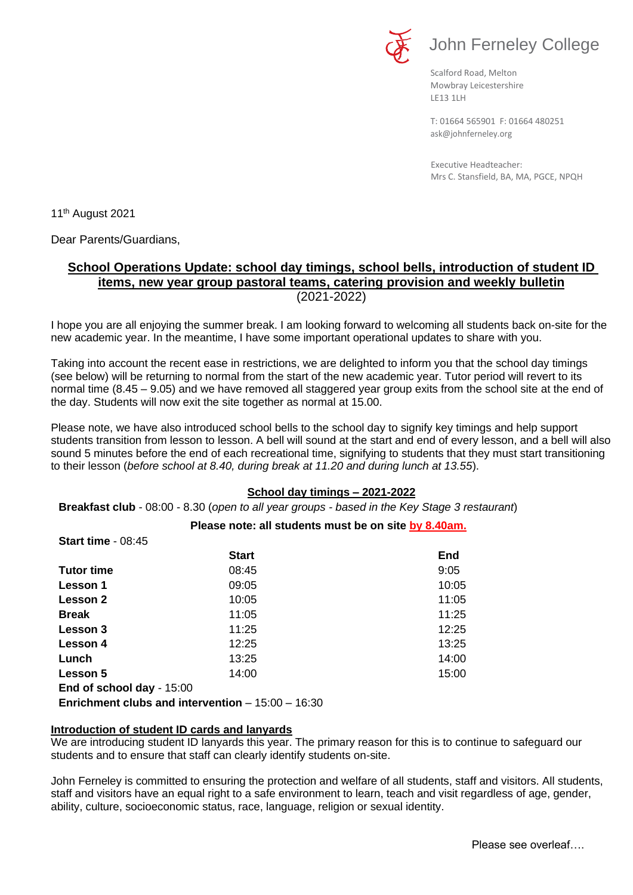

# John Ferneley College

Scalford Road, Melton Mowbray Leicestershire LE13 1LH

[ask@johnferneley.org](mailto:ask@johnferneley.org) T: 01664 565901 F: 01664 480251

 Executive Headteacher: Mrs C. Stansfield, BA, MA, PGCE, NPQH

11<sup>th</sup> August 2021

Dear Parents/Guardians,

# **School Operations Update: school day timings, school bells, introduction of student ID items, new year group pastoral teams, catering provision and weekly bulletin** (2021-2022)

I hope you are all enjoying the summer break. I am looking forward to welcoming all students back on-site for the new academic year. In the meantime, I have some important operational updates to share with you.

Taking into account the recent ease in restrictions, we are delighted to inform you that the school day timings (see below) will be returning to normal from the start of the new academic year. Tutor period will revert to its normal time (8.45 – 9.05) and we have removed all staggered year group exits from the school site at the end of the day. Students will now exit the site together as normal at 15.00.

Please note, we have also introduced school bells to the school day to signify key timings and help support students transition from lesson to lesson. A bell will sound at the start and end of every lesson, and a bell will also sound 5 minutes before the end of each recreational time, signifying to students that they must start transitioning to their lesson (*before school at 8.40, during break at 11.20 and during lunch at 13.55*).

## **School day timings – 2021-2022**

**Breakfast club** - 08:00 - 8.30 (*open to all year groups - based in the Key Stage 3 restaurant*)

## **Please note: all students must be on site by 8.40am.**

| <b>Start time - 08:45</b> |              |       |
|---------------------------|--------------|-------|
|                           | <b>Start</b> | End   |
| <b>Tutor time</b>         | 08:45        | 9:05  |
| <b>Lesson 1</b>           | 09:05        | 10:05 |
| Lesson 2                  | 10:05        | 11:05 |
| <b>Break</b>              | 11:05        | 11:25 |
| Lesson 3                  | 11:25        | 12:25 |
| Lesson 4                  | 12:25        | 13:25 |
| Lunch                     | 13:25        | 14:00 |
| Lesson 5                  | 14:00        | 15:00 |
| End of school day - 15:00 |              |       |

**Enrichment clubs and intervention** – 15:00 – 16:30

## **Introduction of student ID cards and lanyards**

We are introducing student ID lanyards this year. The primary reason for this is to continue to safeguard our students and to ensure that staff can clearly identify students on-site.

John Ferneley is committed to ensuring the protection and welfare of all students, staff and visitors. All students, staff and visitors have an equal right to a safe environment to learn, teach and visit regardless of age, gender, ability, culture, socioeconomic status, race, language, religion or sexual identity.